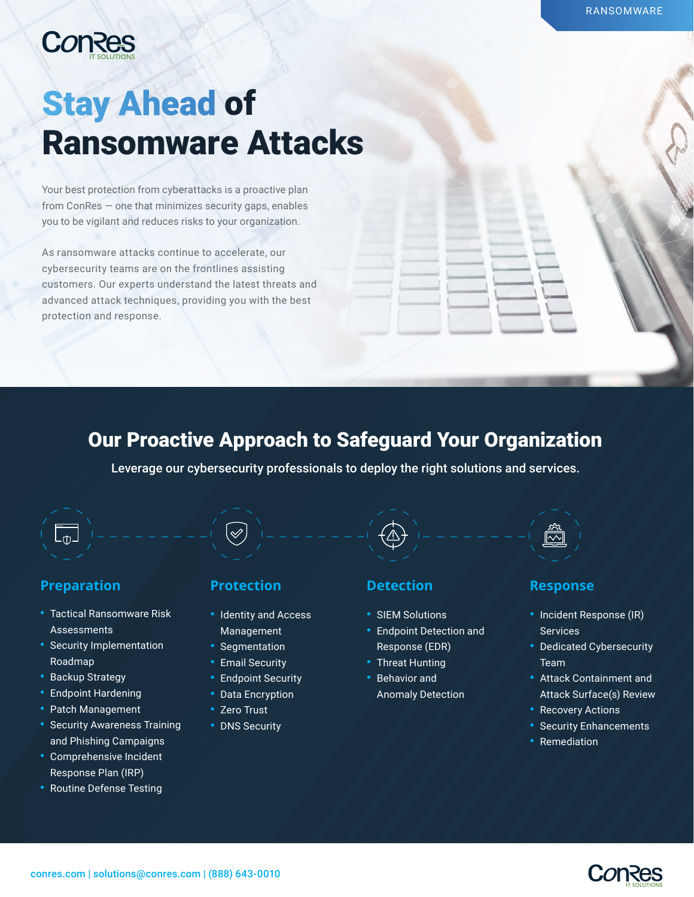

# Stay Ahead of Ransomware Attacks

Your best protection from cyberattacks is a proactive plan from ConRes — one that minimizes security gaps, enables you to be vigilant and reduces risks to your organization.

As ransomware attacks continue to accelerate, our cybersecurity teams are on the frontlines assisting customers. Our experts understand the latest threats and advanced attack techniques, providing you with the best protection and response.

# Our Proactive Approach to Safeguard Your Organization

Leverage our cybersecurity professionals to deploy the right solutions and services.

### **Preparation Protection Detection Response**

 $\lfloor \sp_0 \rfloor$ 

- Tactical Ransomware Risk **Assessments**
- Security Implementation Roadmap
- Backup Strategy
- Endpoint Hardening
- Patch Management
- Security Awareness Training and Phishing Campaigns
- Comprehensive Incident Response Plan (IRP)
- Routine Defense Testing

 $\mathscr{\mathscr{Q}}$ 

- Identity and Access Management
- Segmentation
- Email Security
- Endpoint Security
- Data Encryption
- Zero Trust
- DNS Security

- SIEM Solutions
- Endpoint Detection and Response (EDR)
- Threat Hunting
- Behavior and Anomaly Detection

 $\overline{\overline{\mathbb{W}}}$ 

- Incident Response (IR) Services
- Dedicated Cybersecurity Team
- Attack Containment and Attack Surface(s) Review
- Recovery Actions
- Security Enhancements
- **Remediation**